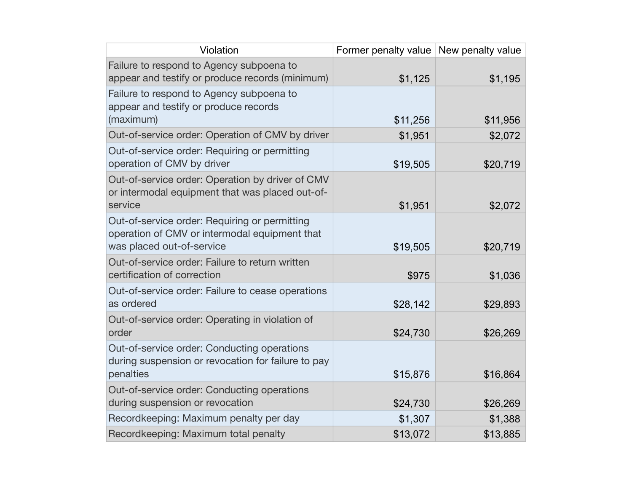| Violation                                                                                                                   | Former penalty value   New penalty value |          |
|-----------------------------------------------------------------------------------------------------------------------------|------------------------------------------|----------|
| Failure to respond to Agency subpoena to<br>appear and testify or produce records (minimum)                                 | \$1,125                                  | \$1,195  |
| Failure to respond to Agency subpoena to<br>appear and testify or produce records<br>(maximum)                              | \$11,256                                 | \$11,956 |
| Out-of-service order: Operation of CMV by driver                                                                            | \$1,951                                  | \$2,072  |
| Out-of-service order: Requiring or permitting<br>operation of CMV by driver                                                 | \$19,505                                 | \$20,719 |
| Out-of-service order: Operation by driver of CMV<br>or intermodal equipment that was placed out-of-<br>service              | \$1,951                                  | \$2,072  |
| Out-of-service order: Requiring or permitting<br>operation of CMV or intermodal equipment that<br>was placed out-of-service | \$19,505                                 | \$20,719 |
| Out-of-service order: Failure to return written<br>certification of correction                                              | \$975                                    | \$1,036  |
| Out-of-service order: Failure to cease operations<br>as ordered                                                             | \$28,142                                 | \$29,893 |
| Out-of-service order: Operating in violation of<br>order                                                                    | \$24,730                                 | \$26,269 |
| Out-of-service order: Conducting operations<br>during suspension or revocation for failure to pay<br>penalties              | \$15,876                                 | \$16,864 |
| Out-of-service order: Conducting operations<br>during suspension or revocation                                              | \$24,730                                 | \$26,269 |
| Recordkeeping: Maximum penalty per day                                                                                      | \$1,307                                  | \$1,388  |
| Recordkeeping: Maximum total penalty                                                                                        | \$13,072                                 | \$13,885 |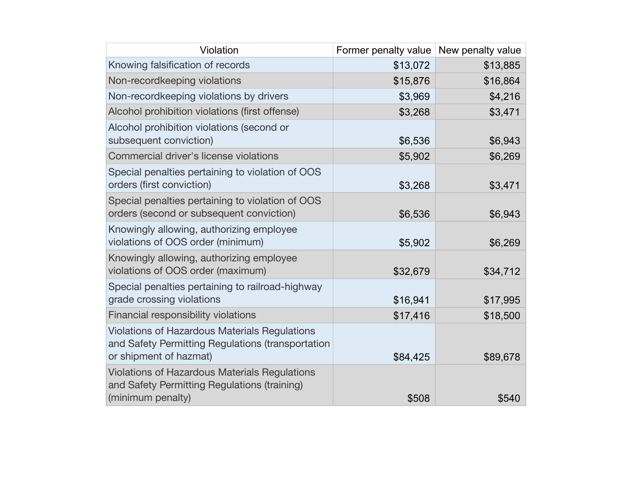| Violation                                                                                                                           | Former penalty value   New penalty value |          |
|-------------------------------------------------------------------------------------------------------------------------------------|------------------------------------------|----------|
| Knowing falsification of records                                                                                                    | \$13,072                                 | \$13,885 |
| Non-recordkeeping violations                                                                                                        | \$15,876                                 | \$16,864 |
| Non-recordkeeping violations by drivers                                                                                             | \$3,969                                  | \$4,216  |
| Alcohol prohibition violations (first offense)                                                                                      | \$3,268                                  | \$3,471  |
| Alcohol prohibition violations (second or<br>subsequent conviction)                                                                 | \$6,536                                  | \$6,943  |
| Commercial driver's license violations                                                                                              | \$5,902                                  | \$6,269  |
| Special penalties pertaining to violation of OOS<br>orders (first conviction)                                                       | \$3,268                                  | \$3,471  |
| Special penalties pertaining to violation of OOS<br>orders (second or subsequent conviction)                                        | \$6,536                                  | \$6,943  |
| Knowingly allowing, authorizing employee<br>violations of OOS order (minimum)                                                       | \$5,902                                  | \$6,269  |
| Knowingly allowing, authorizing employee<br>violations of OOS order (maximum)                                                       | \$32,679                                 | \$34,712 |
| Special penalties pertaining to railroad-highway<br>grade crossing violations                                                       | \$16,941                                 | \$17,995 |
| Financial responsibility violations                                                                                                 | \$17,416                                 | \$18,500 |
| <b>Violations of Hazardous Materials Regulations</b><br>and Safety Permitting Regulations (transportation<br>or shipment of hazmat) | \$84,425                                 | \$89,678 |
| <b>Violations of Hazardous Materials Regulations</b><br>and Safety Permitting Regulations (training)<br>(minimum penalty)           | \$508                                    | \$540    |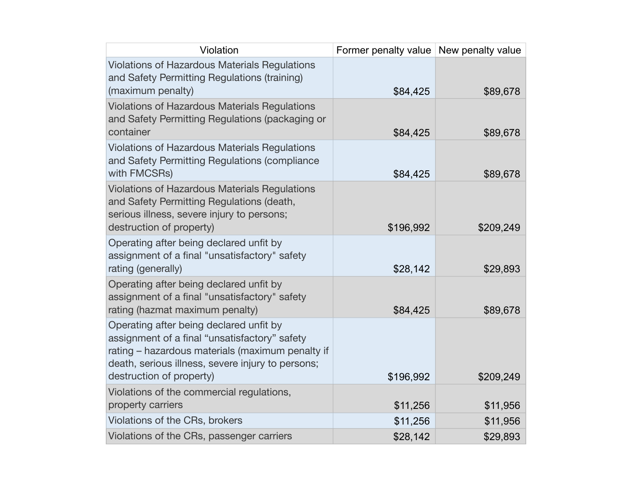| Violation                                                                                                                                                                                                                     | Former penalty value New penalty value |           |
|-------------------------------------------------------------------------------------------------------------------------------------------------------------------------------------------------------------------------------|----------------------------------------|-----------|
| <b>Violations of Hazardous Materials Regulations</b><br>and Safety Permitting Regulations (training)<br>(maximum penalty)                                                                                                     | \$84,425                               | \$89,678  |
| <b>Violations of Hazardous Materials Regulations</b><br>and Safety Permitting Regulations (packaging or<br>container                                                                                                          | \$84,425                               | \$89,678  |
| <b>Violations of Hazardous Materials Regulations</b><br>and Safety Permitting Regulations (compliance<br>with FMCSRs)                                                                                                         | \$84,425                               | \$89,678  |
| <b>Violations of Hazardous Materials Regulations</b><br>and Safety Permitting Regulations (death,<br>serious illness, severe injury to persons;<br>destruction of property)                                                   | \$196,992                              | \$209,249 |
| Operating after being declared unfit by<br>assignment of a final "unsatisfactory" safety<br>rating (generally)                                                                                                                | \$28,142                               | \$29,893  |
| Operating after being declared unfit by<br>assignment of a final "unsatisfactory" safety<br>rating (hazmat maximum penalty)                                                                                                   | \$84,425                               | \$89,678  |
| Operating after being declared unfit by<br>assignment of a final "unsatisfactory" safety<br>rating - hazardous materials (maximum penalty if<br>death, serious illness, severe injury to persons;<br>destruction of property) | \$196,992                              | \$209,249 |
| Violations of the commercial regulations,<br>property carriers                                                                                                                                                                | \$11,256                               | \$11,956  |
| Violations of the CRs, brokers                                                                                                                                                                                                | \$11,256                               | \$11,956  |
| Violations of the CRs, passenger carriers                                                                                                                                                                                     | \$28,142                               | \$29,893  |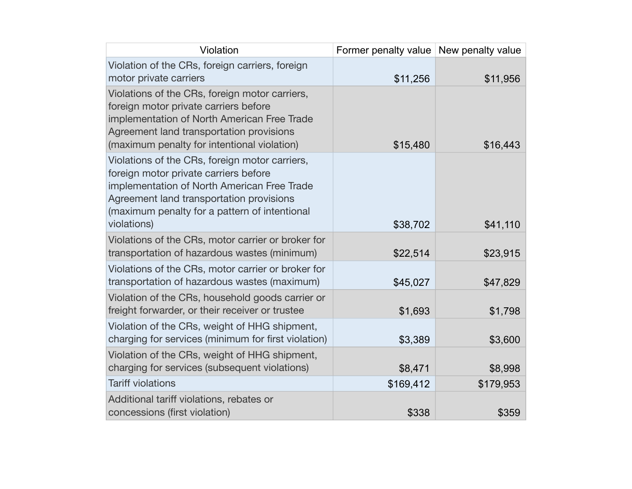| Violation                                                                                                                                                                                                                                          | Former penalty value New penalty value |           |
|----------------------------------------------------------------------------------------------------------------------------------------------------------------------------------------------------------------------------------------------------|----------------------------------------|-----------|
| Violation of the CRs, foreign carriers, foreign<br>motor private carriers                                                                                                                                                                          | \$11,256                               | \$11,956  |
| Violations of the CRs, foreign motor carriers,<br>foreign motor private carriers before<br>implementation of North American Free Trade<br>Agreement land transportation provisions<br>(maximum penalty for intentional violation)                  | \$15,480                               | \$16,443  |
| Violations of the CRs, foreign motor carriers,<br>foreign motor private carriers before<br>implementation of North American Free Trade<br>Agreement land transportation provisions<br>(maximum penalty for a pattern of intentional<br>violations) | \$38,702                               | \$41,110  |
| Violations of the CRs, motor carrier or broker for<br>transportation of hazardous wastes (minimum)                                                                                                                                                 | \$22,514                               | \$23,915  |
| Violations of the CRs, motor carrier or broker for<br>transportation of hazardous wastes (maximum)                                                                                                                                                 | \$45,027                               | \$47,829  |
| Violation of the CRs, household goods carrier or<br>freight forwarder, or their receiver or trustee                                                                                                                                                | \$1,693                                | \$1,798   |
| Violation of the CRs, weight of HHG shipment,<br>charging for services (minimum for first violation)                                                                                                                                               | \$3,389                                | \$3,600   |
| Violation of the CRs, weight of HHG shipment,<br>charging for services (subsequent violations)                                                                                                                                                     | \$8,471                                | \$8,998   |
| <b>Tariff violations</b>                                                                                                                                                                                                                           | \$169,412                              | \$179,953 |
| Additional tariff violations, rebates or<br>concessions (first violation)                                                                                                                                                                          | \$338                                  | \$359     |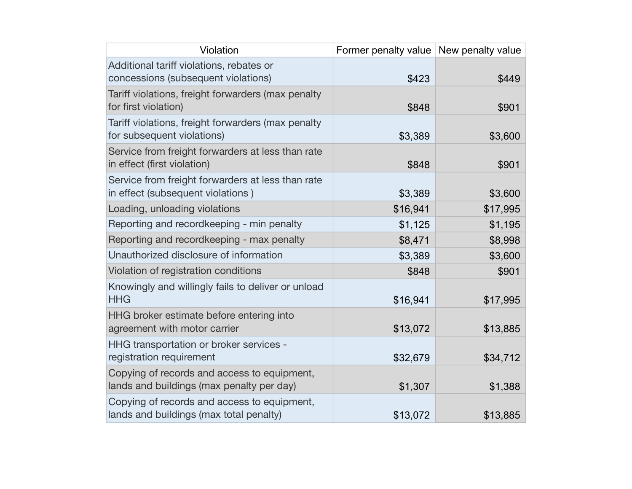| Violation                                                                                | Former penalty value New penalty value |          |
|------------------------------------------------------------------------------------------|----------------------------------------|----------|
| Additional tariff violations, rebates or<br>concessions (subsequent violations)          | \$423                                  | \$449    |
| Tariff violations, freight forwarders (max penalty<br>for first violation)               | \$848                                  | \$901    |
| Tariff violations, freight forwarders (max penalty<br>for subsequent violations)         | \$3,389                                | \$3,600  |
| Service from freight forwarders at less than rate<br>in effect (first violation)         | \$848                                  | \$901    |
| Service from freight forwarders at less than rate<br>in effect (subsequent violations)   | \$3,389                                | \$3,600  |
| Loading, unloading violations                                                            | \$16,941                               | \$17,995 |
| Reporting and recordkeeping - min penalty                                                | \$1,125                                | \$1,195  |
| Reporting and recordkeeping - max penalty                                                | \$8,471                                | \$8,998  |
| Unauthorized disclosure of information                                                   | \$3,389                                | \$3,600  |
| Violation of registration conditions                                                     | \$848                                  | \$901    |
| Knowingly and willingly fails to deliver or unload<br><b>HHG</b>                         | \$16,941                               | \$17,995 |
| HHG broker estimate before entering into<br>agreement with motor carrier                 | \$13,072                               | \$13,885 |
| HHG transportation or broker services -<br>registration requirement                      | \$32,679                               | \$34,712 |
| Copying of records and access to equipment,<br>lands and buildings (max penalty per day) | \$1,307                                | \$1,388  |
| Copying of records and access to equipment,<br>lands and buildings (max total penalty)   | \$13,072                               | \$13,885 |